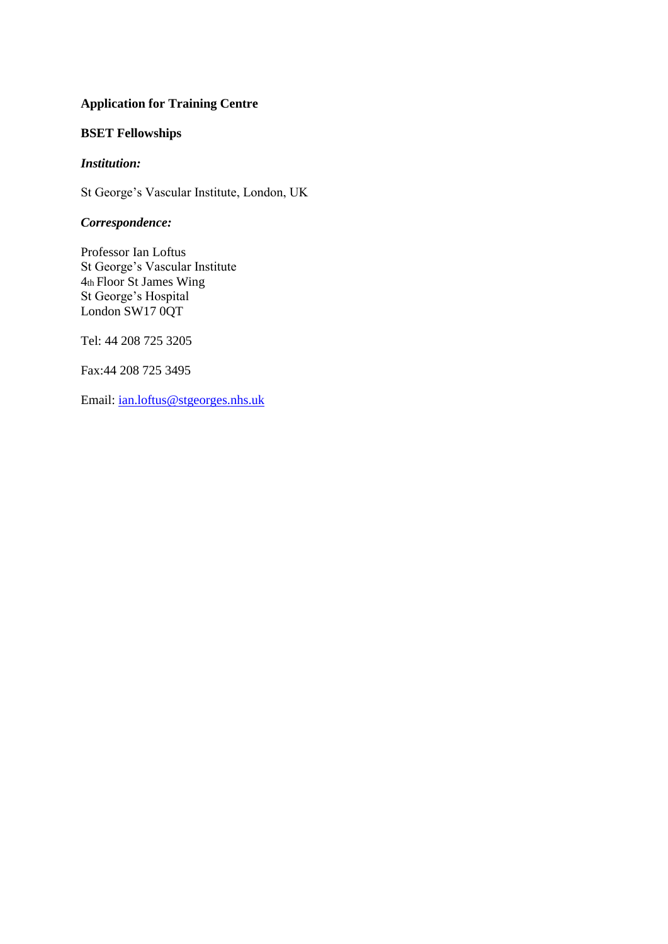# **Application for Training Centre**

# **BSET Fellowships**

#### *Institution:*

St George's Vascular Institute, London, UK

### *Correspondence:*

Professor Ian Loftus St George's Vascular Institute 4th Floor St James Wing St George's Hospital London SW17 0QT

Tel: 44 208 725 3205

Fax:44 208 725 3495

Email: [ian.loftus@stgeorges.nhs.uk](mailto:ian.loftus@stgeorges.nhs.uk)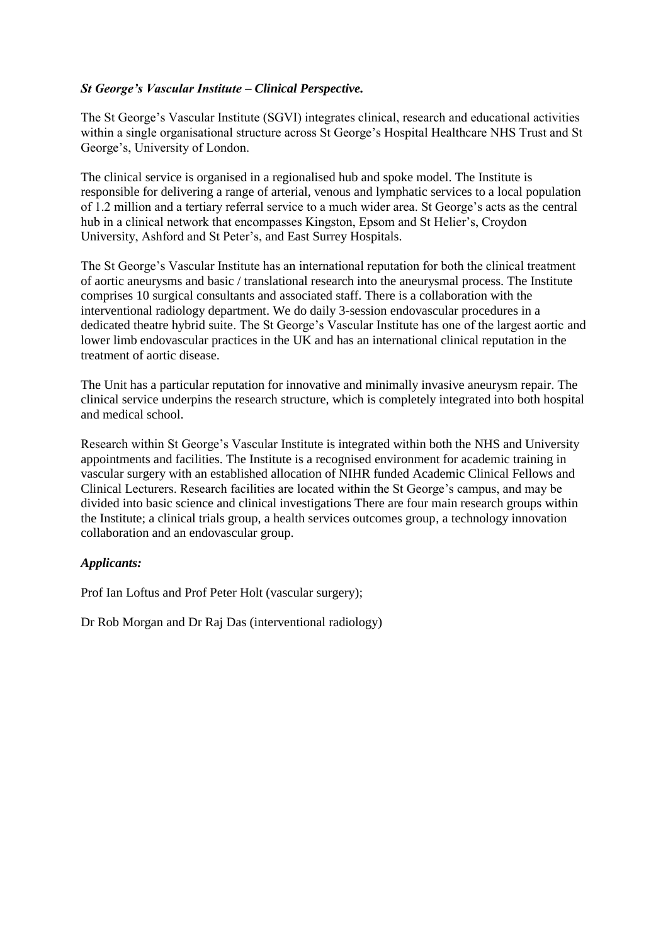# *St George's Vascular Institute – Clinical Perspective.*

The St George's Vascular Institute (SGVI) integrates clinical, research and educational activities within a single organisational structure across St George's Hospital Healthcare NHS Trust and St George's, University of London.

The clinical service is organised in a regionalised hub and spoke model. The Institute is responsible for delivering a range of arterial, venous and lymphatic services to a local population of 1.2 million and a tertiary referral service to a much wider area. St George's acts as the central hub in a clinical network that encompasses Kingston, Epsom and St Helier's, Croydon University, Ashford and St Peter's, and East Surrey Hospitals.

The St George's Vascular Institute has an international reputation for both the clinical treatment of aortic aneurysms and basic / translational research into the aneurysmal process. The Institute comprises 10 surgical consultants and associated staff. There is a collaboration with the interventional radiology department. We do daily 3-session endovascular procedures in a dedicated theatre hybrid suite. The St George's Vascular Institute has one of the largest aortic and lower limb endovascular practices in the UK and has an international clinical reputation in the treatment of aortic disease.

The Unit has a particular reputation for innovative and minimally invasive aneurysm repair. The clinical service underpins the research structure, which is completely integrated into both hospital and medical school.

Research within St George's Vascular Institute is integrated within both the NHS and University appointments and facilities. The Institute is a recognised environment for academic training in vascular surgery with an established allocation of NIHR funded Academic Clinical Fellows and Clinical Lecturers. Research facilities are located within the St George's campus, and may be divided into basic science and clinical investigations There are four main research groups within the Institute; a clinical trials group, a health services outcomes group, a technology innovation collaboration and an endovascular group.

### *Applicants:*

Prof Ian Loftus and Prof Peter Holt (vascular surgery);

Dr Rob Morgan and Dr Raj Das (interventional radiology)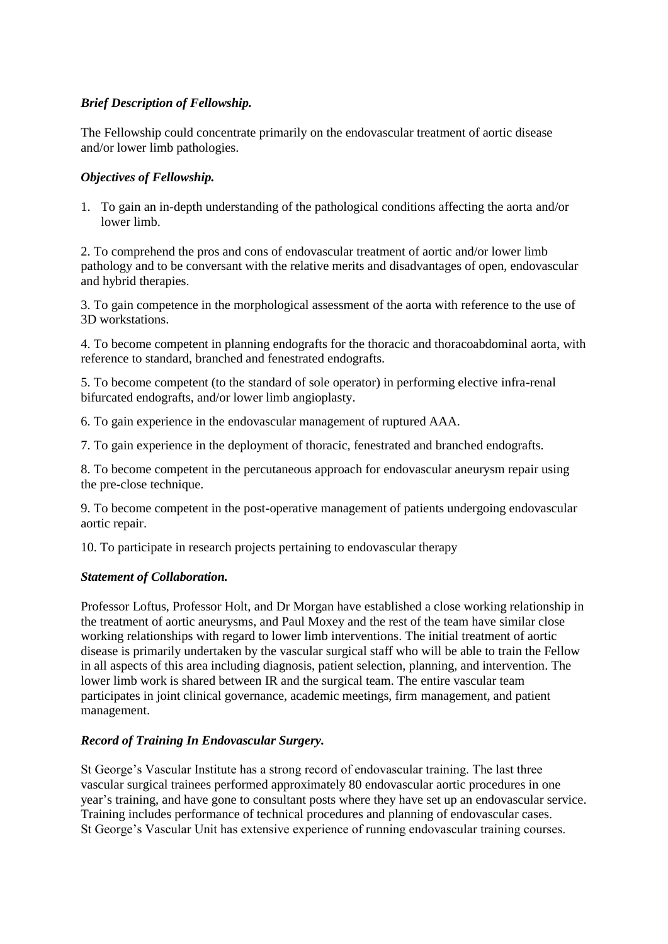# *Brief Description of Fellowship.*

The Fellowship could concentrate primarily on the endovascular treatment of aortic disease and/or lower limb pathologies.

### *Objectives of Fellowship.*

1. To gain an in-depth understanding of the pathological conditions affecting the aorta and/or lower limb.

2. To comprehend the pros and cons of endovascular treatment of aortic and/or lower limb pathology and to be conversant with the relative merits and disadvantages of open, endovascular and hybrid therapies.

3. To gain competence in the morphological assessment of the aorta with reference to the use of 3D workstations.

4. To become competent in planning endografts for the thoracic and thoracoabdominal aorta, with reference to standard, branched and fenestrated endografts.

5. To become competent (to the standard of sole operator) in performing elective infra-renal bifurcated endografts, and/or lower limb angioplasty.

6. To gain experience in the endovascular management of ruptured AAA.

7. To gain experience in the deployment of thoracic, fenestrated and branched endografts.

8. To become competent in the percutaneous approach for endovascular aneurysm repair using the pre-close technique.

9. To become competent in the post-operative management of patients undergoing endovascular aortic repair.

10. To participate in research projects pertaining to endovascular therapy

### *Statement of Collaboration.*

Professor Loftus, Professor Holt, and Dr Morgan have established a close working relationship in the treatment of aortic aneurysms, and Paul Moxey and the rest of the team have similar close working relationships with regard to lower limb interventions. The initial treatment of aortic disease is primarily undertaken by the vascular surgical staff who will be able to train the Fellow in all aspects of this area including diagnosis, patient selection, planning, and intervention. The lower limb work is shared between IR and the surgical team. The entire vascular team participates in joint clinical governance, academic meetings, firm management, and patient management.

### *Record of Training In Endovascular Surgery.*

St George's Vascular Institute has a strong record of endovascular training. The last three vascular surgical trainees performed approximately 80 endovascular aortic procedures in one year's training, and have gone to consultant posts where they have set up an endovascular service. Training includes performance of technical procedures and planning of endovascular cases. St George's Vascular Unit has extensive experience of running endovascular training courses.